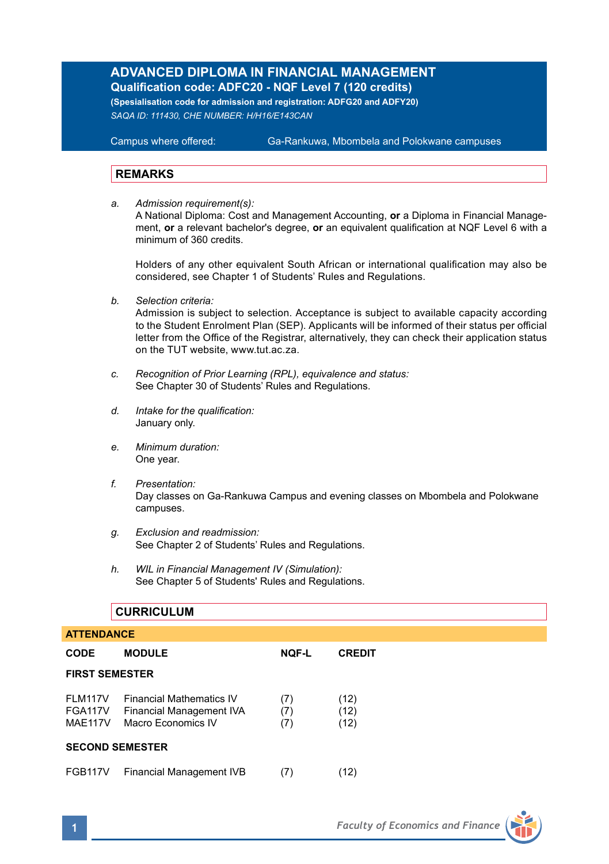## **ADVANCED DIPLOMA IN FINANCIAL MANAGEMENT Qualification code: ADFC20 - NQF Level 7 (120 credits)**

**(Spesialisation code for admission and registration: ADFG20 and ADFY20)** *SAQA ID: 111430, CHE NUMBER: H/H16/E143CAN* 

**Campus where offered:** 

Ga-Rankuwa, Mbombela and Polokwane campuses

### **REMARKS**

*a. Admission requirement(s):*  A National Diploma: Cost and Management Accounting, **or** a Diploma in Financial Management, **or** a relevant bachelor's degree, **or** an equivalent qualification at NQF Level 6 with a minimum of 360 credits.

Holders of any other equivalent South African or international qualification may also be considered, see Chapter 1 of Students' Rules and Regulations.

*b. Selection criteria:*

Admission is subject to selection. Acceptance is subject to available capacity according to the Student Enrolment Plan (SEP). Applicants will be informed of their status per official letter from the Office of the Registrar, alternatively, they can check their application status on the TUT website, www.tut.ac.za.

- *c. Recognition of Prior Learning (RPL), equivalence and status:* See Chapter 30 of Students' Rules and Regulations.
- *d. Intake for the qualification:* January only.
- *e. Minimum duration:* One year.
- *f. Presentation:* Day classes on Ga-Rankuwa Campus and evening classes on Mbombela and Polokwane campuses.
- *g. Exclusion and readmission:* See Chapter 2 of Students' Rules and Regulations.
- *h. WIL in Financial Management IV (Simulation):* See Chapter 5 of Students' Rules and Regulations.

# **CURRICULUM ATTENDANCE CODE MODULE NQF-L CREDIT FIRST SEMESTER** FLM117V Financial Mathematics IV (7) (12) FGA117V Financial Management IVA (7) (12) MAE117V Macro Economics IV (7) (12) **SECOND SEMESTER** FGB117V Financial Management IVB (7) (12)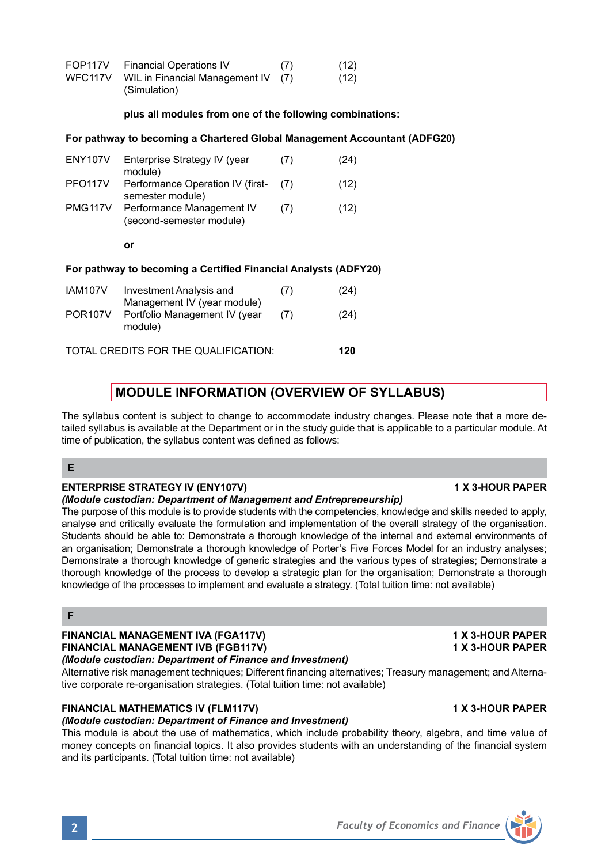| FOP117V | <b>Financial Operations IV</b>     | (7) | (12) |
|---------|------------------------------------|-----|------|
| WFC117V | WIL in Financial Management IV (7) |     | (12) |
|         | (Simulation)                       |     |      |

## **plus all modules from one of the following combinations:**

## **For pathway to becoming a Chartered Global Management Accountant (ADFG20)**

| ENY <sub>107</sub> V | Enterprise Strategy IV (year<br>module)                         | (7) | (24) |
|----------------------|-----------------------------------------------------------------|-----|------|
| PFO <sub>117V</sub>  | Performance Operation IV (first-<br>semester module)            | (7) | (12) |
| <b>PMG117V</b>       | Performance Management IV<br>(second-semester module)           | (7) | (12) |
|                      | or                                                              |     |      |
|                      |                                                                 |     |      |
|                      | For pathway to becoming a Certified Financial Analysts (ADFY20) |     |      |
| <b>IAM107V</b>       | Investment Analysis and<br>Management IV (year module)          | (7) | (24) |

TOTAL CREDITS FOR THE QUALIFICATION: **120**

## **MODULE INFORMATION (OVERVIEW OF SYLLABUS)**

The syllabus content is subject to change to accommodate industry changes. Please note that a more detailed syllabus is available at the Department or in the study guide that is applicable to a particular module. At time of publication, the syllabus content was defined as follows:

## **E**

## **ENTERPRISE STRATEGY IV (ENY107V) 1 X 3-HOUR PAPER**

## *(Module custodian: Department of Management and Entrepreneurship)*

The purpose of this module is to provide students with the competencies, knowledge and skills needed to apply, analyse and critically evaluate the formulation and implementation of the overall strategy of the organisation. Students should be able to: Demonstrate a thorough knowledge of the internal and external environments of an organisation; Demonstrate a thorough knowledge of Porter's Five Forces Model for an industry analyses; Demonstrate a thorough knowledge of generic strategies and the various types of strategies; Demonstrate a thorough knowledge of the process to develop a strategic plan for the organisation; Demonstrate a thorough knowledge of the processes to implement and evaluate a strategy. (Total tuition time: not available)

## **F**

## **FINANCIAL MANAGEMENT IVA (FGA117V) 1 X 3-HOUR PAPER FINANCIAL MANAGEMENT IVB (FGB117V) 1 X 3-HOUR PAPER**

*(Module custodian: Department of Finance and Investment)*

Alternative risk management techniques; Different financing alternatives; Treasury management; and Alternative corporate re-organisation strategies. (Total tuition time: not available)

## **FINANCIAL MATHEMATICS IV (FLM117V) 1 X 3-HOUR PAPER**

*(Module custodian: Department of Finance and Investment)*

This module is about the use of mathematics, which include probability theory, algebra, and time value of money concepts on financial topics. It also provides students with an understanding of the financial system and its participants. (Total tuition time: not available)

**2** *Faculty of Economics and Finance*

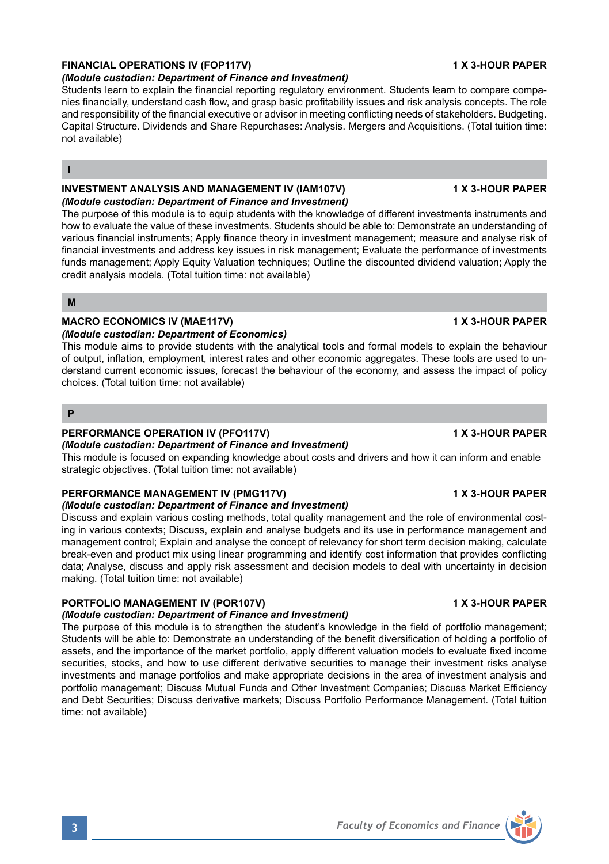## **FINANCIAL OPERATIONS IV (FOP117V) 1 X 3-HOUR PAPER**

#### *(Module custodian: Department of Finance and Investment)*

Students learn to explain the financial reporting regulatory environment. Students learn to compare companies financially, understand cash flow, and grasp basic profitability issues and risk analysis concepts. The role and responsibility of the financial executive or advisor in meeting conflicting needs of stakeholders. Budgeting. Capital Structure. Dividends and Share Repurchases: Analysis. Mergers and Acquisitions. (Total tuition time: not available)

### **I**

### **INVESTMENT ANALYSIS AND MANAGEMENT IV (IAM107V) 1 X 3-HOUR PAPER** *(Module custodian: Department of Finance and Investment)*

The purpose of this module is to equip students with the knowledge of different investments instruments and how to evaluate the value of these investments. Students should be able to: Demonstrate an understanding of various financial instruments; Apply finance theory in investment management; measure and analyse risk of financial investments and address key issues in risk management; Evaluate the performance of investments funds management; Apply Equity Valuation techniques; Outline the discounted dividend valuation; Apply the credit analysis models. (Total tuition time: not available)

**M**

## **MACRO ECONOMICS IV (MAE117V) 1 X 3-HOUR PAPER**

### *(Module custodian: Department of Economics)*

This module aims to provide students with the analytical tools and formal models to explain the behaviour of output, inflation, employment, interest rates and other economic aggregates. These tools are used to understand current economic issues, forecast the behaviour of the economy, and assess the impact of policy choices. (Total tuition time: not available)

**P**

#### **PERFORMANCE OPERATION IV (PFO117V) 1 X 3-HOUR PAPER** *(Module custodian: Department of Finance and Investment)*

This module is focused on expanding knowledge about costs and drivers and how it can inform and enable strategic objectives. (Total tuition time: not available)

### **PERFORMANCE MANAGEMENT IV (PMG117V) 1 X 3-HOUR PAPER**

### *(Module custodian: Department of Finance and Investment)*

Discuss and explain various costing methods, total quality management and the role of environmental costing in various contexts; Discuss, explain and analyse budgets and its use in performance management and management control; Explain and analyse the concept of relevancy for short term decision making, calculate break-even and product mix using linear programming and identify cost information that provides conflicting data; Analyse, discuss and apply risk assessment and decision models to deal with uncertainty in decision making. (Total tuition time: not available)

### **PORTFOLIO MANAGEMENT IV (POR107V) 1 X 3-HOUR PAPER**

## *(Module custodian: Department of Finance and Investment)*

The purpose of this module is to strengthen the student's knowledge in the field of portfolio management; Students will be able to: Demonstrate an understanding of the benefit diversification of holding a portfolio of assets, and the importance of the market portfolio, apply different valuation models to evaluate fixed income securities, stocks, and how to use different derivative securities to manage their investment risks analyse investments and manage portfolios and make appropriate decisions in the area of investment analysis and portfolio management; Discuss Mutual Funds and Other Investment Companies; Discuss Market Efficiency and Debt Securities; Discuss derivative markets; Discuss Portfolio Performance Management. (Total tuition time: not available)